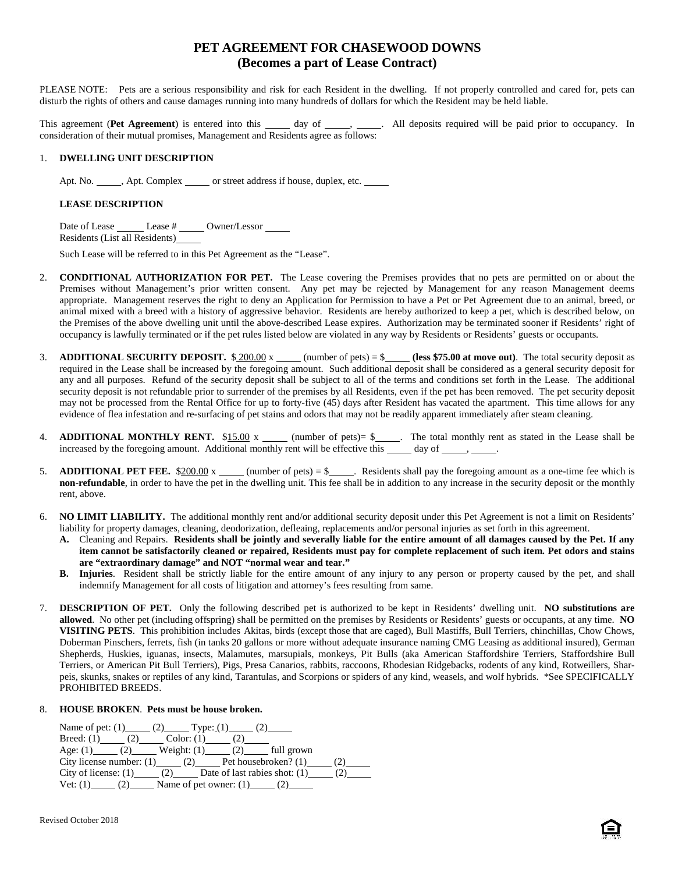# **PET AGREEMENT FOR CHASEWOOD DOWNS (Becomes a part of Lease Contract)**

PLEASE NOTE: Pets are a serious responsibility and risk for each Resident in the dwelling. If not properly controlled and cared for, pets can disturb the rights of others and cause damages running into many hundreds of dollars for which the Resident may be held liable.

This agreement (Pet Agreement) is entered into this \_\_\_\_\_ day of \_\_\_\_\_, \_\_\_\_\_. All deposits required will be paid prior to occupancy. In consideration of their mutual promises, Management and Residents agree as follows:

## 1. **DWELLING UNIT DESCRIPTION**

Apt. No. \_\_\_\_\_, Apt. Complex \_\_\_\_\_ or street address if house, duplex, etc. \_\_\_\_\_

# **LEASE DESCRIPTION**

Date of Lease \_\_\_\_\_\_\_ Lease # \_\_\_\_\_ Owner/Lessor \_\_\_\_\_ Residents (List all Residents)

Such Lease will be referred to in this Pet Agreement as the "Lease".

- 2. **CONDITIONAL AUTHORIZATION FOR PET.** The Lease covering the Premises provides that no pets are permitted on or about the Premises without Management's prior written consent. Any pet may be rejected by Management for any reason Management deems appropriate. Management reserves the right to deny an Application for Permission to have a Pet or Pet Agreement due to an animal, breed, or animal mixed with a breed with a history of aggressive behavior. Residents are hereby authorized to keep a pet, which is described below, on the Premises of the above dwelling unit until the above-described Lease expires. Authorization may be terminated sooner if Residents' right of occupancy is lawfully terminated or if the pet rules listed below are violated in any way by Residents or Residents' guests or occupants.
- 3. **ADDITIONAL SECURITY DEPOSIT.**  $\frac{$200.00 \text{ x}}{200.00 \text{ x}}$  (number of pets) = \$ (less \$75.00 at move out). The total security deposit as required in the Lease shall be increased by the foregoing amount. Such additional deposit shall be considered as a general security deposit for any and all purposes. Refund of the security deposit shall be subject to all of the terms and conditions set forth in the Lease. The additional security deposit is not refundable prior to surrender of the premises by all Residents, even if the pet has been removed. The pet security deposit may not be processed from the Rental Office for up to forty-five (45) days after Resident has vacated the apartment. This time allows for any evidence of flea infestation and re-surfacing of pet stains and odors that may not be readily apparent immediately after steam cleaning.
- 4. **ADDITIONAL MONTHLY RENT.** \$15.00 x  $\qquad$  (number of pets)= \$ $\qquad$ . The total monthly rent as stated in the Lease shall be increased by the foregoing amount. Additional monthly rent will be effective this  $\_\_\_\_$  day of  $\_\_\_\_\_\_$ .
- 5. **ADDITIONAL PET FEE.** \$200.00 x (number of pets) = \$  $\leq$  Residents shall pay the foregoing amount as a one-time fee which is **non-refundable**, in order to have the pet in the dwelling unit. This fee shall be in addition to any increase in the security deposit or the monthly rent, above.
- 6. **NO LIMIT LIABILITY.** The additional monthly rent and/or additional security deposit under this Pet Agreement is not a limit on Residents' liability for property damages, cleaning, deodorization, defleaing, replacements and/or personal injuries as set forth in this agreement.
	- **A.** Cleaning and Repairs. **Residents shall be jointly and severally liable for the entire amount of all damages caused by the Pet. If any item cannot be satisfactorily cleaned or repaired, Residents must pay for complete replacement of such item. Pet odors and stains are "extraordinary damage" and NOT "normal wear and tear."**
	- **B. Injuries**. Resident shall be strictly liable for the entire amount of any injury to any person or property caused by the pet, and shall indemnify Management for all costs of litigation and attorney's fees resulting from same.
- 7. **DESCRIPTION OF PET.** Only the following described pet is authorized to be kept in Residents' dwelling unit. **NO substitutions are allowed**. No other pet (including offspring) shall be permitted on the premises by Residents or Residents' guests or occupants, at any time. **NO VISITING PETS**. This prohibition includes Akitas, birds (except those that are caged), Bull Mastiffs, Bull Terriers, chinchillas, Chow Chows, Doberman Pinschers, ferrets, fish (in tanks 20 gallons or more without adequate insurance naming CMG Leasing as additional insured), German Shepherds, Huskies, iguanas, insects, Malamutes, marsupials, monkeys, Pit Bulls (aka American Staffordshire Terriers, Staffordshire Bull Terriers, or American Pit Bull Terriers), Pigs, Presa Canarios, rabbits, raccoons, Rhodesian Ridgebacks, rodents of any kind, Rotweillers, Shar peis, skunks, snakes or reptiles of any kind, Tarantulas, and Scorpions or spiders of any kind, weasels, and wolf hybrids. \*See SPECIFICALLY PROHIBITED BREEDS.

# 8. **HOUSE BROKEN**. **Pets must be house broken.**

Name of pet:  $(1)$  (2) Type:  $(1)$  (2) Breed: (1)  $(2)$  Color: (1)  $(2)$ Age: (1) \_\_\_\_\_ (2) \_\_\_\_\_\_ Weight: (1) \_\_\_\_\_ (2) \_\_\_\_\_\_ full grown City license number:  $(1)$  (2) Pet housebroken?  $(1)$  (2) City of license:  $(1)$  (2) Date of last rabies shot:  $(1)$  (2) Vet:  $(1)$  (2) Name of pet owner:  $(1)$  (2)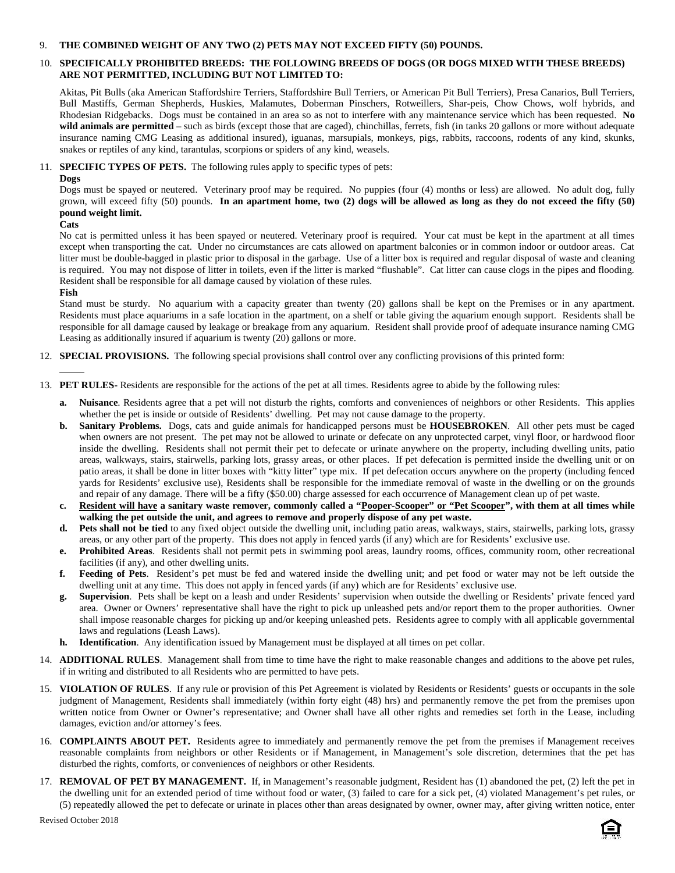#### 9. **THE COMBINED WEIGHT OF ANY TWO (2) PETS MAY NOT EXCEED FIFTY (50) POUNDS.**

# 10. **SPECIFICALLY PROHIBITED BREEDS: THE FOLLOWING BREEDS OF DOGS (OR DOGS MIXED WITH THESE BREEDS) ARE NOT PERMITTED, INCLUDING BUT NOT LIMITED TO:**

Akitas, Pit Bulls (aka American Staffordshire Terriers, Staffordshire Bull Terriers, or American Pit Bull Terriers), Presa Canarios, Bull Terriers, Bull Mastiffs, German Shepherds, Huskies, Malamutes, Doberman Pinschers, Rotweillers, Shar-peis, Chow Chows, wolf hybrids, and Rhodesian Ridgebacks. Dogs must be contained in an area so as not to interfere with any maintenance service which has been requested. **No** wild animals are permitted – such as birds (except those that are caged), chinchillas, ferrets, fish (in tanks 20 gallons or more without adequate insurance naming CMG Leasing as additional insured), iguanas, marsupials, monkeys, pigs, rabbits, raccoons, rodents of any kind, skunks, snakes or reptiles of any kind, tarantulas, scorpions or spiders of any kind, weasels.

11. **SPECIFIC TYPES OF PETS.** The following rules apply to specific types of pets:

#### **Dogs**

Dogs must be spayed or neutered. Veterinary proof may be required. No puppies (four (4) months or less) are allowed. No adult dog, fully grown, will exceed fifty (50) pounds. **In an apartment home, two (2) dogs will be allowed as long as they do not exceed the fifty (50) pound weight limit.**

## **Cats**

No cat is permitted unless it has been spayed or neutered. Veterinary proof is required. Your cat must be kept in the apartment at all times except when transporting the cat. Under no circumstances are cats allowed on apartment balconies or in common indoor or outdoor areas. Cat litter must be double-bagged in plastic prior to disposal in the garbage. Use of a litter box is required and regular disposal of waste and cleaning is required. You may not dispose of litter in toilets, even if the litter is marked "flushable". Cat litter can cause clogs in the pipes and flooding. Resident shall be responsible for all damage caused by violation of these rules.

## **Fish**

Stand must be sturdy. No aquarium with a capacity greater than twenty (20) gallons shall be kept on the Premises or in any apartment. Residents must place aquariums in a safe location in the apartment, on a shelf or table giving the aquarium enough support. Residents shall be responsible for all damage caused by leakage or breakage from any aquarium. Resident shall provide proof of adequate insurance naming CMG Leasing as additionally insured if aquarium is twenty (20) gallons or more.

- 12. **SPECIAL PROVISIONS.** The following special provisions shall control over any conflicting provisions of this printed form:
- 13. **PET RULES-** Residents are responsible for the actions of the pet at all times. Residents agree to abide by the following rules:
	- **a. Nuisance**. Residents agree that a pet will not disturb the rights, comforts and conveniences of neighbors or other Residents. This applies whether the pet is inside or outside of Residents' dwelling. Pet may not cause damage to the property.
	- **b. Sanitary Problems.** Dogs, cats and guide animals for handicapped persons must be **HOUSEBROKEN**. All other pets must be caged when owners are not present. The pet may not be allowed to urinate or defecate on any unprotected carpet, vinyl floor, or hardwood floor inside the dwelling. Residents shall not permit their pet to defecate or urinate anywhere on the property, including dwelling units, patio areas, walkways, stairs, stairwells, parking lots, grassy areas, or other places. If pet defecation is permitted inside the dwelling unit or on patio areas, it shall be done in litter boxes with "kitty litter" type mix. If pet defecation occurs anywhere on the property (including fenced yards for Residents' exclusive use), Residents shall be responsible for the immediate removal of waste in the dwelling or on the grounds and repair of any damage. There will be a fifty (\$50.00) charge assessed for each occurrence of Management clean up of pet waste.
	- **c. Resident will have a sanitary waste remover, commonly called a "Pooper-Scooper" or "Pet Scooper", with them at all times while walking the pet outside the unit, and agrees to remove and properly dispose of any pet waste.**
	- **d. Pets shall not be tied** to any fixed object outside the dwelling unit, including patio areas, walkways, stairs, stairwells, parking lots, grassy areas, or any other part of the property. This does not apply in fenced yards (if any) which are for Residents' exclusive use.
	- **e. Prohibited Areas**. Residents shall not permit pets in swimming pool areas, laundry rooms, offices, community room, other recreational facilities (if any), and other dwelling units.
	- **f. Feeding of Pets**. Resident's pet must be fed and watered inside the dwelling unit; and pet food or water may not be left outside the dwelling unit at any time. This does not apply in fenced yards (if any) which are for Residents' exclusive use.
	- **g. Supervision**. Pets shall be kept on a leash and under Residents' supervision when outside the dwelling or Residents' private fenced yard area. Owner or Owners' representative shall have the right to pick up unleashed pets and/or report them to the proper authorities. Owner shall impose reasonable charges for picking up and/or keeping unleashed pets. Residents agree to comply with all applicable governmental laws and regulations (Leash Laws).
	- **h. Identification**. Any identification issued by Management must be displayed at all times on pet collar.
- 14. **ADDITIONAL RULES**. Management shall from time to time have the right to make reasonable changes and additions to the above pet rules, if in writing and distributed to all Residents who are permitted to have pets.
- 15. **VIOLATION OF RULES**. If any rule or provision of this Pet Agreement is violated by Residents or Residents' guests or occupants in the sole judgment of Management, Residents shall immediately (within forty eight (48) hrs) and permanently remove the pet from the premises upon written notice from Owner or Owner's representative; and Owner shall have all other rights and remedies set forth in the Lease, including damages, eviction and/or attorney's fees.
- 16. **COMPLAINTS ABOUT PET.** Residents agree to immediately and permanently remove the pet from the premises if Management receives reasonable complaints from neighbors or other Residents or if Management, in Management's sole discretion, determines that the pet has disturbed the rights, comforts, or conveniences of neighbors or other Residents.
- 17. **REMOVAL OF PET BY MANAGEMENT.** If, in Management's reasonable judgment, Resident has (1) abandoned the pet, (2) left the pet in the dwelling unit for an extended period of time without food or water, (3) failed to care for a sick pet, (4) violated Management's pet rules, or (5) repeatedly allowed the pet to defecate or urinate in places other than areas designated by owner, owner may, after giving written notice, enter

Revised October 2018